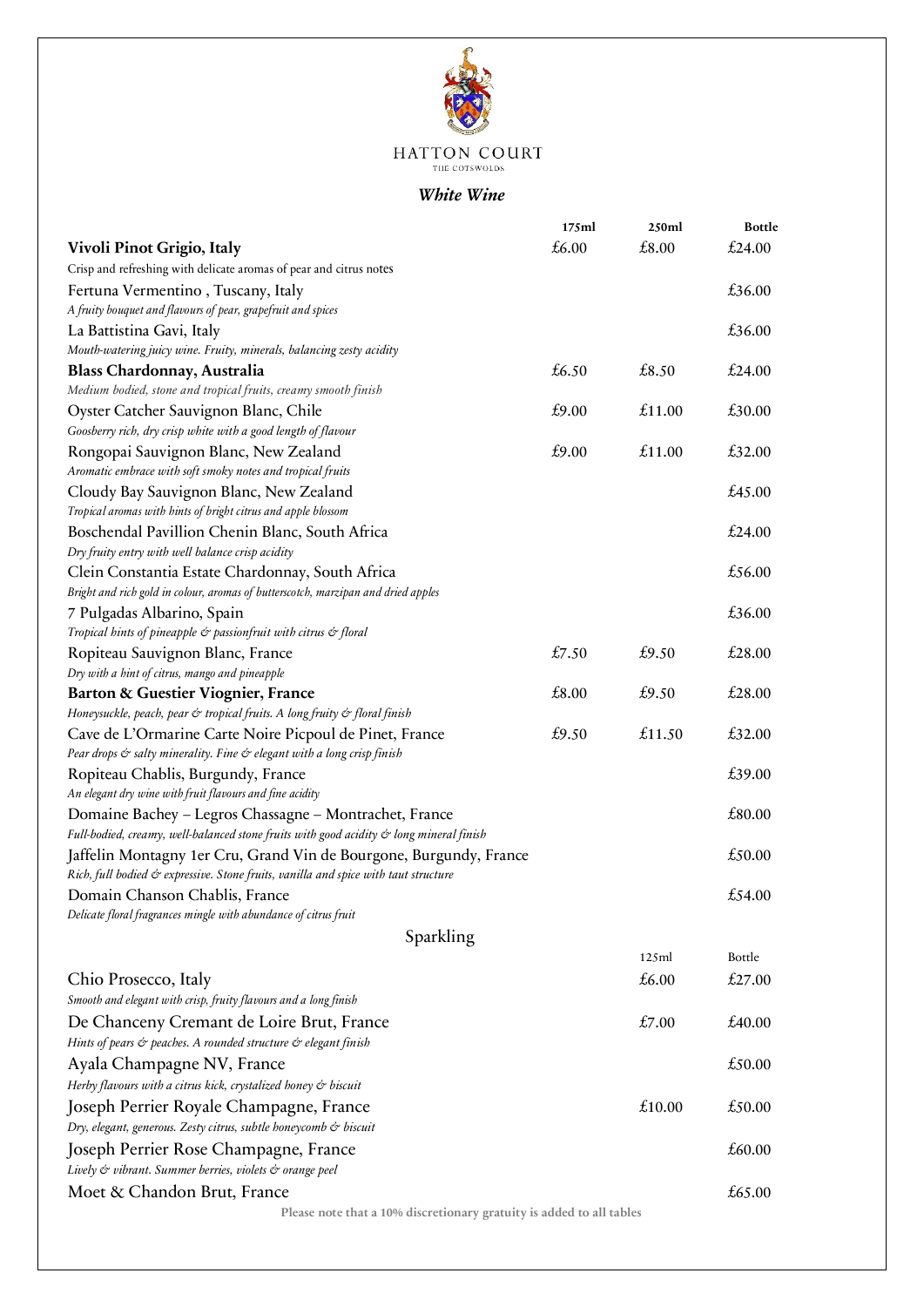

# $\begin{array}{ll} \mbox{HATTON}\ \textbf{COURT} \\ \mbox{The crosswolbs} \end{array}$

### *White Wine*

|                                                                                         | 175ml | 250ml  | <b>Bottle</b> |
|-----------------------------------------------------------------------------------------|-------|--------|---------------|
| Vivoli Pinot Grigio, Italy                                                              | £6.00 | £8.00  | £24.00        |
| Crisp and refreshing with delicate aromas of pear and citrus notes                      |       |        |               |
| Fertuna Vermentino, Tuscany, Italy                                                      |       |        | £36.00        |
| A fruity bouquet and flavours of pear, grapefruit and spices                            |       |        |               |
| La Battistina Gavi, Italy                                                               |       |        | £36.00        |
| Mouth-watering juicy wine. Fruity, minerals, balancing zesty acidity                    |       |        |               |
| <b>Blass Chardonnay, Australia</b>                                                      | £6.50 | £8.50  | £24.00        |
| Medium bodied, stone and tropical fruits, creamy smooth finish                          |       |        |               |
| Oyster Catcher Sauvignon Blanc, Chile                                                   | £9.00 | £11.00 | £30.00        |
| Goosberry rich, dry crisp white with a good length of flavour                           |       |        |               |
| Rongopai Sauvignon Blanc, New Zealand                                                   | £9.00 | £11.00 | £32.00        |
| Aromatic embrace with soft smoky notes and tropical fruits                              |       |        |               |
| Cloudy Bay Sauvignon Blanc, New Zealand                                                 |       |        | £45.00        |
| Tropical aromas with hints of bright citrus and apple blossom                           |       |        |               |
| Boschendal Pavillion Chenin Blanc, South Africa                                         |       |        | £24.00        |
| Dry fruity entry with well balance crisp acidity                                        |       |        |               |
| Clein Constantia Estate Chardonnay, South Africa                                        |       |        | £56.00        |
| Bright and rich gold in colour, aromas of butterscotch, marzipan and dried apples       |       |        |               |
| 7 Pulgadas Albarino, Spain                                                              |       |        | £36.00        |
| Tropical hints of pineapple & passionfruit with citrus & floral                         |       |        |               |
| Ropiteau Sauvignon Blanc, France                                                        | £7.50 | £9.50  | £28.00        |
| Dry with a hint of citrus, mango and pineapple                                          |       |        |               |
| <b>Barton &amp; Guestier Viognier, France</b>                                           | £8.00 | £9.50  | £28.00        |
| Honeysuckle, peach, pear & tropical fruits. A long fruity & floral finish               |       |        |               |
| Cave de L'Ormarine Carte Noire Picpoul de Pinet, France                                 | £9.50 | £11.50 | £32.00        |
| Pear drops & salty minerality. Fine & elegant with a long crisp finish                  |       |        |               |
| Ropiteau Chablis, Burgundy, France                                                      |       |        | £39.00        |
| An elegant dry wine with fruit flavours and fine acidity                                |       |        |               |
| Domaine Bachey - Legros Chassagne - Montrachet, France                                  |       |        | £80.00        |
| Full-bodied, creamy, well-balanced stone fruits with good acidity & long mineral finish |       |        |               |
| Jaffelin Montagny 1er Cru, Grand Vin de Bourgone, Burgundy, France                      |       |        | £50.00        |
| Rich, full bodied & expressive. Stone fruits, vanilla and spice with taut structure     |       |        |               |
| Domain Chanson Chablis, France                                                          |       |        | £54.00        |
| Delicate floral fragrances mingle with abundance of citrus fruit                        |       |        |               |
| Sparkling                                                                               |       |        |               |
|                                                                                         |       | 125ml  | Bottle        |
| Chio Prosecco, Italy                                                                    |       | £6.00  | £27.00        |
| Smooth and elegant with crisp, fruity flavours and a long finish                        |       |        |               |
| De Chanceny Cremant de Loire Brut, France                                               |       | £7.00  | £40.00        |
| Hints of pears & peaches. A rounded structure & elegant finish                          |       |        |               |
| Ayala Champagne NV, France                                                              |       |        | £50.00        |
| Herby flavours with a citrus kick, crystalized honey & biscuit                          |       |        |               |
|                                                                                         |       | £10.00 | £50.00        |
| Joseph Perrier Royale Champagne, France                                                 |       |        |               |
| Dry, elegant, generous. Zesty citrus, subtle honeycomb & biscuit                        |       |        |               |
| Joseph Perrier Rose Champagne, France                                                   |       |        | £60.00        |
| Lively & vibrant. Summer berries, violets & orange peel                                 |       |        |               |
| Moet & Chandon Brut, France                                                             |       |        | £65.00        |
| Please note that a 10% discretionary gratuity is added to all tables                    |       |        |               |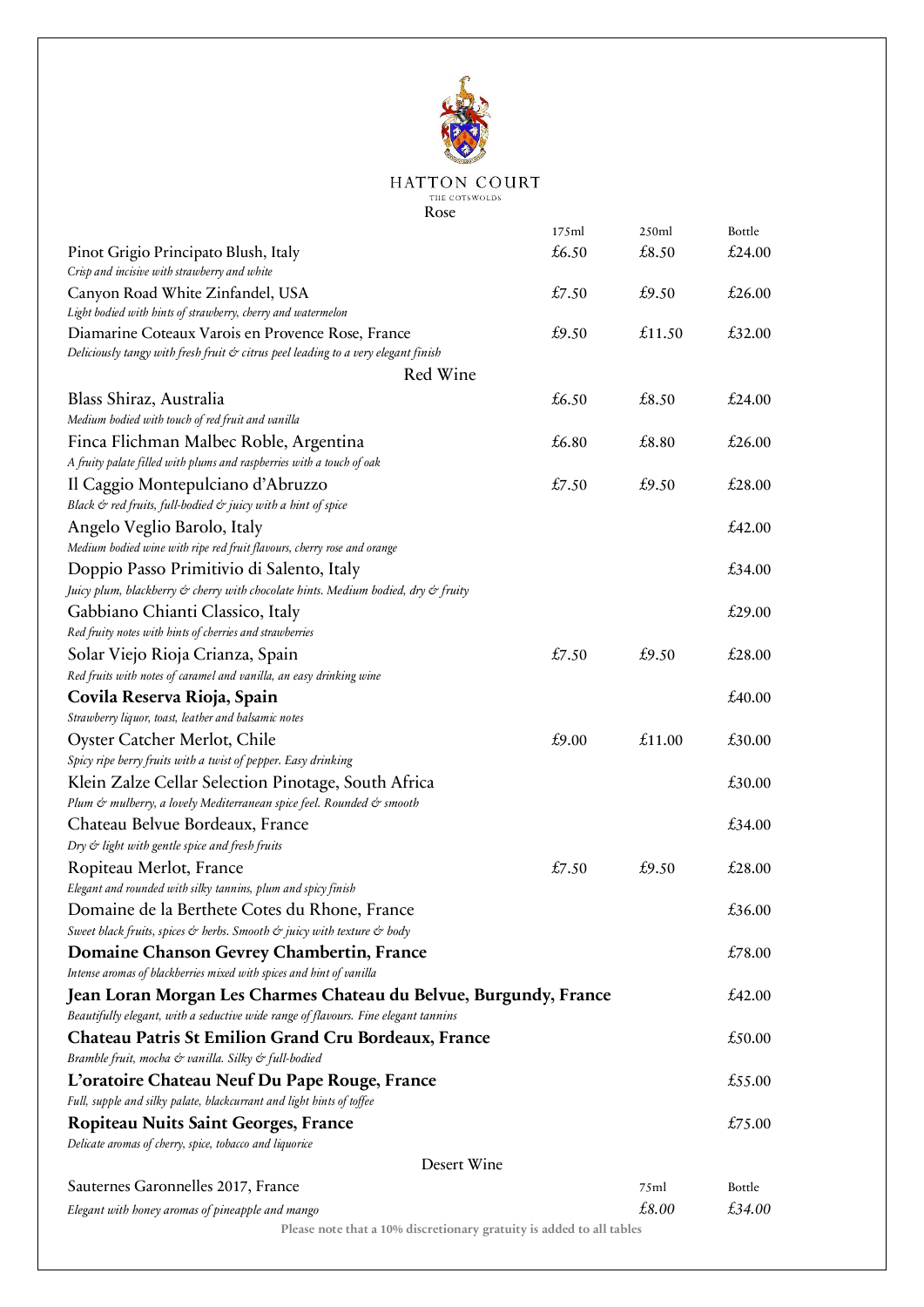

# $\begin{array}{llll} \textbf{HATTON}\ \textbf{COURT} \\ \textbf{\small\texttt{THE}\;\texttt{COTSWOLDS}} \end{array}$

Rose

|                                                                                                        | 175ml | 250ml  | Bottle |
|--------------------------------------------------------------------------------------------------------|-------|--------|--------|
| Pinot Grigio Principato Blush, Italy                                                                   | £6.50 | £8.50  | £24.00 |
| Crisp and incisive with strawberry and white                                                           |       |        |        |
| Canyon Road White Zinfandel, USA                                                                       | £7.50 | £9.50  | £26.00 |
| Light bodied with hints of strawberry, cherry and watermelon                                           |       |        |        |
| Diamarine Coteaux Varois en Provence Rose, France                                                      | £9.50 | £11.50 | £32.00 |
| Deliciously tangy with fresh fruit & citrus peel leading to a very elegant finish                      |       |        |        |
| Red Wine                                                                                               |       |        |        |
| Blass Shiraz, Australia                                                                                | £6.50 | £8.50  | £24.00 |
| Medium bodied with touch of red fruit and vanilla                                                      |       |        |        |
| Finca Flichman Malbec Roble, Argentina                                                                 | £6.80 | £8.80  | £26.00 |
| A fruity palate filled with plums and raspberries with a touch of oak                                  |       |        |        |
| Il Caggio Montepulciano d'Abruzzo                                                                      | £7.50 | £9.50  | £28.00 |
| Black & red fruits, full-bodied & juicy with a hint of spice                                           |       |        |        |
|                                                                                                        |       |        | £42.00 |
| Angelo Veglio Barolo, Italy<br>Medium bodied wine with ripe red fruit flavours, cherry rose and orange |       |        |        |
|                                                                                                        |       |        | £34.00 |
| Doppio Passo Primitivio di Salento, Italy                                                              |       |        |        |
| Juicy plum, blackberry & cherry with chocolate hints. Medium bodied, dry & fruity                      |       |        |        |
| Gabbiano Chianti Classico, Italy                                                                       |       |        | £29.00 |
| Red fruity notes with hints of cherries and strawberries                                               |       |        |        |
| Solar Viejo Rioja Crianza, Spain                                                                       | £7.50 | £9.50  | £28.00 |
| Red fruits with notes of caramel and vanilla, an easy drinking wine                                    |       |        |        |
| Covila Reserva Rioja, Spain                                                                            |       |        | £40.00 |
| Strawberry liquor, toast, leather and balsamic notes                                                   |       |        |        |
| Oyster Catcher Merlot, Chile                                                                           | £9.00 | £11.00 | £30.00 |
| Spicy ripe berry fruits with a twist of pepper. Easy drinking                                          |       |        |        |
| Klein Zalze Cellar Selection Pinotage, South Africa                                                    |       |        | £30.00 |
| Plum & mulberry, a lovely Mediterranean spice feel. Rounded & smooth                                   |       |        |        |
| Chateau Belvue Bordeaux, France                                                                        |       |        | £34.00 |
| Dry & light with gentle spice and fresh fruits                                                         |       |        |        |
| Ropiteau Merlot, France                                                                                | £7.50 | £9.50  | £28.00 |
| Elegant and rounded with silky tannins, plum and spicy finish                                          |       |        |        |
| Domaine de la Berthete Cotes du Rhone, France                                                          |       |        | £36.00 |
| Sweet black fruits, spices & herbs. Smooth & juicy with texture & body                                 |       |        |        |
| Domaine Chanson Gevrey Chambertin, France                                                              |       |        | £78.00 |
| Intense aromas of blackberries mixed with spices and hint of vanilla                                   |       |        |        |
| Jean Loran Morgan Les Charmes Chateau du Belvue, Burgundy, France                                      |       |        | £42.00 |
| Beautifully elegant, with a seductive wide range of flavours. Fine elegant tannins                     |       |        |        |
| <b>Chateau Patris St Emilion Grand Cru Bordeaux, France</b>                                            |       |        | £50.00 |
|                                                                                                        |       |        |        |
| Bramble fruit, mocha & vanilla. Silky & full-bodied                                                    |       |        |        |
| L'oratoire Chateau Neuf Du Pape Rouge, France                                                          |       |        | £55.00 |
| Full, supple and silky palate, blackcurrant and light hints of toffee                                  |       |        |        |
| <b>Ropiteau Nuits Saint Georges, France</b>                                                            |       |        | £75.00 |
| Delicate aromas of cherry, spice, tobacco and liquorice                                                |       |        |        |
| Desert Wine                                                                                            |       |        |        |
| Sauternes Garonnelles 2017, France                                                                     |       | 75ml   | Bottle |
| Elegant with honey aromas of pineapple and mango                                                       |       | £8.00  | £34.00 |
| Please note that a 10% discretionary gratuity is added to all tables                                   |       |        |        |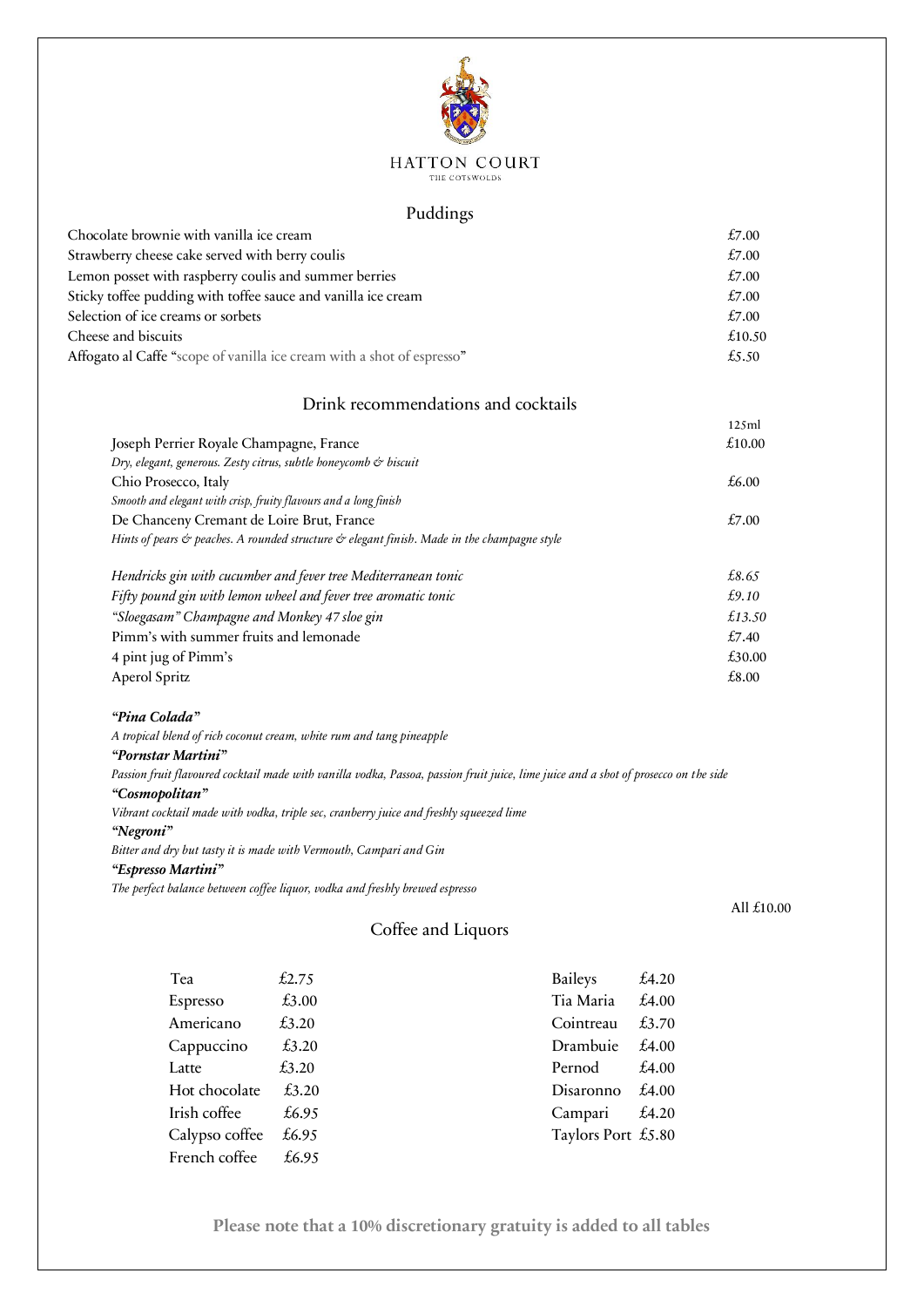

### HATTON COURT THE COTSWOLDS

### Puddings

| £7.00  |
|--------|
| £7.00  |
| £7.00  |
| £7.00  |
| £7.00  |
| £10.50 |
| £5.50  |
|        |

## Drink recommendations and cocktails

|                                                                                             | 125ml  |
|---------------------------------------------------------------------------------------------|--------|
| Joseph Perrier Royale Champagne, France                                                     | £10.00 |
| Dry, elegant, generous. Zesty citrus, subtle honeycomb & biscuit                            |        |
| Chio Prosecco, Italy                                                                        | £6.00  |
| Smooth and elegant with crisp, fruity flavours and a long finish                            |        |
| De Chanceny Cremant de Loire Brut, France                                                   | £7.00  |
| Hints of pears & peaches. A rounded structure & elegant finish. Made in the champagne style |        |
| Hendricks gin with cucumber and fever tree Mediterranean tonic                              | £8.65  |
| Fifty pound gin with lemon wheel and fever tree aromatic tonic                              | £9.10  |
| "Sloegasam" Champagne and Monkey 47 sloe gin                                                | £13.50 |
| Pimm's with summer fruits and lemonade                                                      | £7.40  |
| 4 pint jug of Pimm's                                                                        | £30.00 |
| Aperol Spritz                                                                               | £8.00  |

### *"Pina Colada"*

*A tropical blend of rich coconut cream, white rum and tang pineapple*

# *"Pornstar Martini"*

*Passion fruit flavoured cocktail made with vanilla vodka, Passoa, passion fruit juice, lime juice and a shot of prosecco on the side "Cosmopolitan"*

*Vibrant cocktail made with vodka, triple sec, cranberry juice and freshly squeezed lime* 

### *"Negroni"*

*Bitter and dry but tasty it is made with Vermouth, Campari and Gin* 

### *"Espresso Martini"*

*The perfect balance between coffee liquor, vodka and freshly brewed espresso* 

## Coffee and Liquors

| Tea            | £2.75 | <b>Baileys</b>     | £4.20 |
|----------------|-------|--------------------|-------|
| Espresso       | £3.00 | Tia Maria          | £4.00 |
| Americano      | £3.20 | Cointreau          | £3.70 |
| Cappuccino     | £3.20 | Drambuie           | £4.00 |
| Latte          | £3.20 | Pernod             | £4.00 |
| Hot chocolate  | £3.20 | Disaronno          | £4.00 |
| Irish coffee   | £6.95 | Campari            | £4.20 |
| Calypso coffee | £6.95 | Taylors Port £5.80 |       |
| French coffee  | £6.95 |                    |       |

**Please note that a 10% discretionary gratuity is added to all tables**

All £10.00